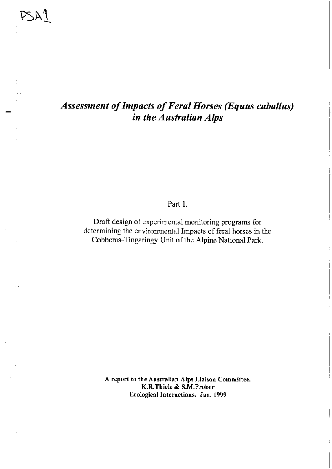# *Assessment of Impacts of Feral Horses (Equus caballus) in the Australian Alps*

Part 1.

Draft design of experimental monitoring programs for determining the environmental Impacts of feral horses in the Cobberas-Tingaringy Unit of the Alpine National Park.

> A report to the Australian Alps Liaison Committee. K.R. Thiele & S.M.Prober Ecological Interactions. Jan. 1999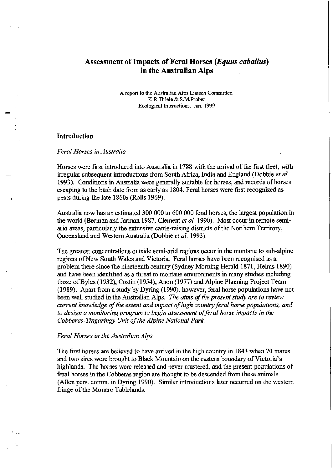# **Assessment of Impacts of Feral Horses** *(Equus cabal Ius)*  **in the Australian Alps**

A report to the Australian Alps Liaison Committee. K.R.Thiele & S.M.Prober Ecological Interactions. Jan. 1999

#### **Introduction**

~

) -.

#### *Feral Horses in Australia*

Horses were first introduced into Australia in 1788 with the arrival of the first fleet, with irregular subsequent introductions from South Africa, India and England (Dobbie *et al.* 1993). Conditions in Australia were generally suitable for horses, and records of horses escaping to the bush date from as early as 1804. Feral horses were first recognized as pests during the late 1860s (Rolls 1969).

Australia now has an estimated 300 000 to 600 000 feral horses, the largest population in the world (Berman and Jarman 1987, Clement *et al.* 1990). Most occur in remote semiarid areas, particularly the extensive cattle-raising districts of the Northern Territory, Queensland and Western Australia (Dobbie *et al. 1993).* 

The greatest concentrations outside semi-arid regions occur in the montane to sub-alpine regions of New South Wales and Victoria. Feral horses have been recognised as a problem there since the nineteenth century (Sydney Morning Herald 1871, Helms 1890) and have been identified as a threat to montane environments in many studies including those ofByles (1932), Costin (1954), Anon (1977) and Alpine Planning Project Team (1989). Apart from a study by Dyring (1990), however, feral horse populations have not been well studied in the Australian Alps.. *The aims of the present study are to review current knowledge of the extent and impact of high country feral horse populations, and to design a monitoring program to begin assessment of feral horse impacts in the Cobberas-Tingaringy Unit of the Alpine National Park.* 

#### *Feral Horses in the Australian Alps*

The first horses are believed to have arrived in the high country in 1843 when 70 mares and two sires were brought to Black Mountain on the eastern boundary of Victoria's highlands. The horses were released and never mustered, and the present populations of feral horses in the Cobberas region are thought to be descended from these animals (AlIen pers. comm. in Dyring 1990). Similar introductions later occurred on the western fringe of the Monaro Tablelands.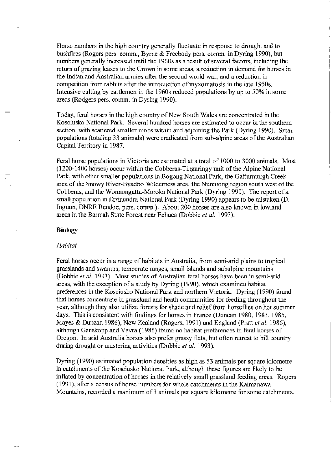Horse numbers in the high country generally fluctuate in response to drought and to bushfrres (Rogers pers. comm., Byrne & Freebody pers. comm. in Dyring 1990), but numbers generally increased until the 1960s as a result of several factors, including the return of grazing leases to the Crown in some areas, a reduction in demand for horses in the Indian and Australian armies after the second world war, and a reduction in competition from rabbits after the introduction of myxomatosis in the late 1950s. Intensive culling by cattlemen in the 1960s reduced populations by up to 50% in some areas (Rodgers pers. comm. in Dyring 1990).

Today, feral horses in the high country of New South Wales are concentrated in the Kosciusko National Park. Several hundred horses are estimated to occur in the southern section, with scattered smaller mobs within and adjoining the Park (Dyring 1990). Small populations (totaling 33 animals) were eradicated from sub-alpine areas of the Australian Capital Territory in 1987.

Feral horse populations in Victoria are estimated at a total of 1000 to 3000 animals. Most (1200-1400 horses) occur within the Cobberas-Tingaringy unit of the Alpine National Park, with other smaller populations in Bogong National Park, the Gatturmurgh Creek area of the Snowy River-Byadbo Wilderness area, the Nunniong region south west of the Cobberas, and the Wonnongatta-Moroka National Park (Dyring 1990). The report of a small population in Errinundra National Park (Dyring 1990) appears to be mistaken (D. Ingram, DNRE Bendoc, pers. comm.). About 200 horses are also known in lowland areas in the Barmah State Forest near Echuca (Dobbie *et al. 1993).* 

#### **Biology**

#### *Habitat*

Feral horses occur in a range of habitats in Australia, from semi-arid plains to tropical grasslands and swamps, temperate ranges, small islands and subalpine mountains (Dobbie *et al.* 1993). Most studies of Australian feral horses have been in semi-arid areas, with the exception of a study by Dyring (1990), which examined habitat preferences in the Kosciusko National Park and northern Victoria. Dyring (1990) found that horses concentrate in grassland and heath communities for feeding throughout the year, although they also utilize forests for shade and relief from horseflies on hot summer days. This is consistent with findings for horses in France (Duncan 1980, 1983, 1985, Mayes & Duncan 1986), New Zealand (Rogers, 1991) and England (Pratt *et al. 1986),*  although Ganskopp and Vavra (1986) found no habitat preferences in feral horses of Oregon. In arid Australia horses also prefer grassy flats, but often retreat to hill country during drought or mustering activities (Dobbie *et al. 1993).* 

Dyring (1990) estimated population densities as high as 53 animals per square kilometre in catchments of the Kosciusko National Park, although these figures are likely to be inflated by concentration of horses in the relatively small grassland feeding areas. Rogers (1991), after a census of horse numbers for whole catchments in the Kaimanawa Mountains, recorded a maximum of 3 animals per square kilometre for some catchments.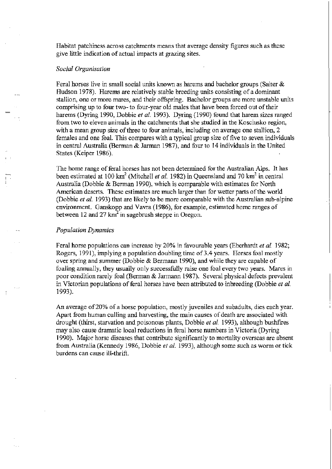Habitat patchiness across catchments means that average density figures such as these give little indication of actual impacts at grazing sites.

#### *Social Organisation*

Feral horses live in small social units known as harems and bachelor groups (Salter & Hudson 1978). Harems are relatively stable breeding units consisting of a dominant stallion, one or more mares, and their offspring. Bachelor groups are more unstable units comprising up to four two- to four-year old males that have been forced out of their harems (Dyring 1990, Dobbie *et al.* 1993). Dyring (1990) found that harem sizes ranged from two to eleven animals in the catchments that she studied in the Kosciusko region, with a mean group size of three to four animals, including on average one stallion, 2 females and one foal. This compares with a typical group size of five to seven individuals in central Australia (Berman & Jarman 1987), and four to 14 individuals in the United States (Keiper 1986).

The home range of feral horses has not been determined for the Australian Alps. It has been estimated at 100 km<sup>2</sup> (Mitchell *et al.* 1982) in Queensland and 70 km<sup>2</sup> in central Australia (Dobbie & Berman 1990), which is comparable with estimates for North American deserts. These estimates are much larger than for wetter parts of the world (Dobbie *et al.* 1993) that are likely to be more comparable with the Australian sub-alpine environment. Ganskopp and Vavra (1986), for example, estimated home ranges of between 12 and 27  $km^2$  in sagebrush steppe in Oregon.

#### *Population Dynamics*

) i

 $\prod_{i=1}^{n}$ 

Feral horse populations can increase by 20% in favourable years (Eberhardt *et al.* 1982; Rogers, 1991), implying a population doubling time of 3.4 years. Horses foal mostly over spring and summer (Dobbie & Bermann 1990), and while they are capable of foaling annually, they usually only successfully raise one foal every two years. Mares in poor condition rarely foal (Berman & Jarmann 1987). Several physical defects prevalent in Victorian populations of feral horses have been attributed to inbreeding (Dobbie *et al.*  1993).

An average of20% of a horse population, mostly juveniles and subadults, dies each year. Apart from human culling and harvesting, the main causes of death are associated with drought (thirst, starvation and poisonous plants, Dobbie *et al.* 1993), although bushfrres may also cause dramatic local reductions in feral horse numbers in Victoria (Dyring 1990). Major horse diseases that contribute significantly to mortality overseas are absent from Australia (Kennedy 1986, Dobbie *et al.* 1993), although some such as worm or tick burdens can cause ill-thrift.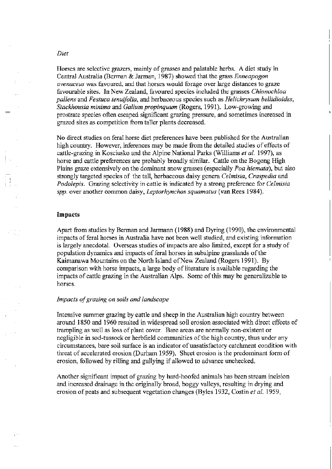#### *Diet*

 $=$ 

)J

I '.-

Horses are selective grazers, mainly of grasses and palatable herbs. A diet study in Central Australia (Berman & Jarman, 1987) showed that the grass *Enneapogon avenaceus* was favoured, and that horses would forage over large distances to graze favourable sites. In New Zealand, favoured species included the grasses *Chionochloa pallens* and *Festuca tenuifolia,* and herbaceous species such as *Helichrysum bellidioides, Stackhousia minima* and *Galium propinquum* (Rogers, 1991). Low-growing and prostrate species often escaped significant grazing pressure, and sometimes increased in grazed sites as competition from taller plants decreased.

No direct studies on feral horse diet preferences have been published for the Australian high country. However, inferences may be made from the detailed studies of effects of cattle-grazing in Kosciusko and the Alpine National Parks (Williams *et al.* 1997), as horse and cattle preferences are probably broadly similar. Cattle on the Bogong High Plains graze extensively on the dominant snow grasses (especially *Poa hiemata),* but also strongly targeted species of the tall, herbaceous daisy genera *Celmisia, Craspedia* and *Podolepis.* Grazing selectivity in cattle is indicated by a strong preference for *Celmisia spp.* over another common daisy, *Leptorhynchos squamatus* (van Rees 1984).

#### **Impacts**

Apart from studies by Berman and Jarmann (1988) and Dyring (1990), the environmental impacts of feral horses in Australia have not been well studied, and existing information is largely anecdotal. Overseas studies of impacts are also limited, except for a study of population dynamics and impacts of feral horses in subalpine grasslands of the Kaimanawa Mountains on the North Island of New Zealand (Rogers 1991). By comparison with horse impacts, a large body of literature is available regarding the impacts of cattle grazing in the Australian Alps. Some of this may be generalizable to horses.

#### *impacts of grazing on soils and landscape*

Intensive summer grazing by cattle and sheep in the Australian high country between around 1850 and 1960 resulted in widespread soil erosion associated with direct effects of tramplingas well as loss of plant cover. Bare areas are normally non-existent or negligible in sod-tussock or herbfield communities of the high country, thus under any circumstances, bare soil surface is an indicator of unsatisfactory catchment condition with threat of accelerated erosion (Durham 1959). Sheet erosion is the predominant form of erosion, followed by rilling and gullying if allowed to advance unchecked.

Another significant impact of grazing by hard-hoofed animals has been stream incision and increased drainage in the originally broad, boggy valleys, resulting in drying and erosion of peats and subsequent vegetation changes (Byles 1932, Costin *et al.* 1959,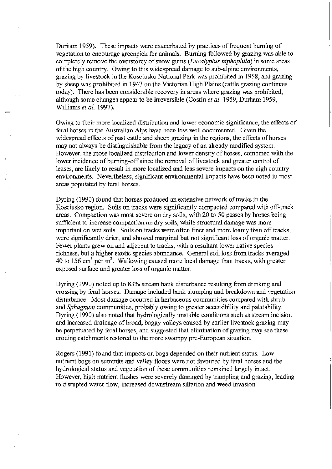Durham 1959). These impacts were exacerbated by practices of frequent burning of vegetation to encourage green pick for animals. Burning followed by grazing was able to completely remove the overstorey of snow gums *(Eucalyptus niphophila)* in some areas of the high country. Owing to this widespread damage to sub-alpine environments, grazing by livestock in the Kosciusko National Park was prohibited in 1958, and grazing by sheep was prohibited in 1947 on the Victorian High Plains (cattle grazing continues today). There has been considerable recovery in areas where grazing was prohibited, although some changes appear to be irreversible (Costin *et al.* 1959, Durham 1959, Williams *et al. 1997).* 

Owing to their more localized distribution and lower economic significance, the effects of feral horses in the Australian Alps have been less well documented. Given the widespread effects of past cattle and sheep grazing in the regions, the effects of horses may not always be distinguishable from the legacy of an already modified system. However, the more localized distribution and lower density of horses, combined with the lower incidence of burning-off since the removal of livestock and greater control of leases, are likely to result in more localized and less severe impacts on the high country environments. Nevertheless, significant environmental impacts have been noted in most areas populated by feral horses.

Dyring (1990) found that horses produced an extensive network of tracks in the Kosciusko region. Soils on tracks were significantly compacted compared with off-track areas. Compaction was most severe on dry soils, with 20 to 50 passes by horses being sufficient to increase compaction on dry soils, while structural damage was more important on wet soils. Soils on tracks were often finer and more loamy than off tracks, were significantly drier, and showed marginal but not significant loss of organic matter. Fewer plants grew on and adjacent to tracks, with a resultant lower native species richness, but a higher exotic species abundance. General soil loss from tracks averaged 40 to 156 cm<sup>3</sup> per m<sup>2</sup>. Wallowing caused more local damage than tracks, with greater exposed surface and greater loss of organic matter.

Dyring (1990) noted up to 83% stream bank disturbance resulting from drinking and crossing by feral horses. Damage included bank slumping and breakdown and vegetation disturbance. Most damage occurred in herbaceous communities compared with shrub and *Sphagnum* communities, probably owing to greater accessibility and palatability. Dyring (1990) also noted that hydrologically unstable conditions such as stream incision and increased drainage of broad, boggy valleys caused by earlier livestock grazing may be perpetuated by feral horses, and suggested that elimination of grazing may see these eroding catchments restored to the more swampy pre-European situation.

Rogers (1991) found that impacts on bogs depended on their nutrient status. Low nutrient bogs on summits and valley floors were not favoured by feral horses and the hydrological status and vegetation of these communities remained largely intact. However, high nutrient flushes were severely damaged by trampling and grazing, leading to disrupted water flow, increased downstream siltation and weed invasion.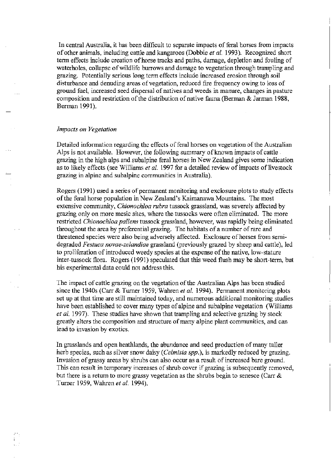In central Australia, it has been difficult to separate impacts of feral horses from impacts of other animals, including cattle and kangaroos (Dobbie *et al.* 1993). Recognized short term effects include creation of horse tracks and paths, damage, depletion and fouling of waterholes, collapse of wildlife burrows and damage to vegetation through trampling and grazing. Potentially serious long term effects include increased erosion through soil disturbance and denuding areas of vegetation, reduced fire frequency owing to loss of ground fuel, increased seed dispersal of natives and weeds in manure, changes in pasture composition and restriction of the distribution of native fauna (Berman & Jarman 1988, Berman 1991).

### *Impacts on Vegetation*

 $\equiv$ 

Detailed information regarding the effects of feral horses on vegetation of the Australian Alps is not available. However, the following summary of known impacts of cattle. grazing in the high alps and sUbalpine feral horses in New Zealand gives some indication as to likely effects (see Williams *et al.* 1997 for a detailed review of impacts of livestock grazing in alpine and subalpine communities in Australia).

Rogers (1991) used a series of permanent monitoring and exclosure plots to study effects of the feral horse population in New Zealand's Kaimanawa Mountains. The most extensive community, *Chionochloa rubra* tussock grassland, was severely affected by grazing only on more mesic sites, where the tussocks were often eliminated. The more restricted *Chionochloa pallens* tussock grassland, however, was rapidly being eliminated throughout the area by preferential grazing. The habitats of a number of rare and threatened species were also being adversely affected. Exclosure of horses from semidegraded *Festuca novae-zelandiae* grassland (previously grazed by sheep and cattle), led to proliferation of introduced weedy species at the expense of the native, low-stature inter-tussock flora. Rogers (1991) speculated that this weed flush may be short-term, but his experimental data could not address this.

The impact of cattle grazing on the vegetation of the Australian Alps has been studied since the 1940s (Carr & Turner 1959, Wahren *et al.* 1994). Permanent monitoring plots set up at that time are still maintained today, and numerous additional monitoring studies have been established to cover many types of alpine and subalpine vegetation (Williams *et al.* 1997). These studies have shown that trampling and selective grazing by stock greatly alters the composition and structure of many alpine plant communities, and can lead to invasion by exotics.

In grasslands and open heathlands, the abundance and seed production of many taller herb species, such as silver snow daisy *(Celmisia spp.),* is markedly reduced by grazing. Invasion of grassy areas by shrubs can also occur as a result of increased bare ground. This can result in temporary increases of shrub cover if grazing is subsequently removed, but there is a return to more grassy vegetation as the shrubs begin to senesce (Carr & Turner 1959, Wahren *et al. 1994).*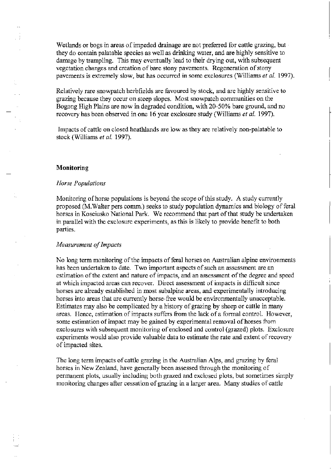Wetlands or bogs in areas of impeded drainage are not preferred for cattle grazing, but they do contain palatable species as well as drinking water, and are highly sensitive to damage by trampling. This may eventually lead to their drying out, with subsequent vegetation changes and creation of bare stony pavements. Regeneration of stony pavements is extremely slow, but has occurred in some exclosures (Williams *et al. 1997).* 

Relatively rare snowpatch herbfields are favoured by stock, and are highly sensitive to grazing because they occur on steep slopes. Most snowpatch communities on the Bogong High Plains are now in degraded condition, with 20-50% bare ground, and no recovery has been observed in one 16 year exclosure study (Williams *et al. 1997).* 

Impacts of cattle on closed heathlands are low as they are relatively non-palatable to stock (Williams *et al. 1997).* 

# **Monitoring**

#### *Horse Populations*

Monitoring of horse populations is beyond the scope of this study. A study currently proposed (M. Waiter pers comm.) seeks to study population dynamics and biology of feral horses in Kosciusko National Park. We recommend that part of that study be undertaken in parallel with the exclosure experiments, as this is likely to provide benefit to both parties.

#### *Measurement of Impacts*

No long term monitoring of the impacts of feral horses on Australian alpine environments has been undertaken to date. Two important aspects of such an assessment are an estimation of the extent and nature of impacts, and an assessment of the degree and speed at which impacted areas can recover. Direct assessment of impacts is difficult since horses are already established in most subalpine areas, and experimentally introducing horses into areas that are currently horse-free would be environmentally unacceptable. Estimates may also be complicated by a history of grazing by sheep or cattle in many areas. Hence, estimation of impacts suffers from the lack of a formal control. However, some estimation of impact may be gained by experimental removal of horses from exclosures with subsequent monitoring of enclosed and control (grazed) plots. Exclosure experiments would also provide valuable data to estimate the rate and extent of recovery of impacted sites.

The long term impacts of cattle grazing in the Australian Alps, and grazing by feral horses in New Zealand, have generally been assessed through the monitoring of permanent plots, usually including both grazed and exclosed plots, but sometimes simply monitoring changes after cessation of grazing in a larger area. Many studies of cattle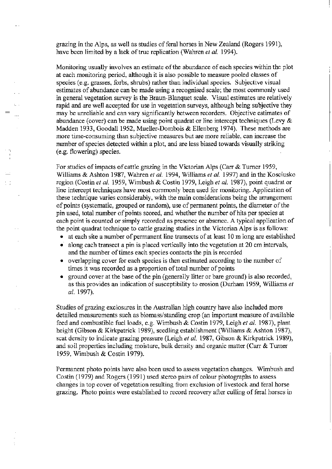grazing in the Alps, as well as studies of feral horses in New Zealand (Rogers 1991), have been limited by a lack of true replication (Wahren *et al. 1994).* 

Monitoring usually involves an estimate of the abundance of each species within the plot at each monitoring period, although it is also possible to measure pooled classes of species (e.g. grasses, forbs, shrubs) rather than individual species. Subjective visual estimates of abundance can be made using a recognised scale; the most commonly used in general vegetation survey is the Braun-Blanquet scale. Visual estimates are relatively rapid and are well accepted for use in vegetation surveys, although being subjective they may be unreliable and can vary significantly between recorders. Objective estimates of abundance (cover) can be made using point quadrat or line intercept techniques (Levy  $\&$ Madden 1933, Goodall 1952, Mueller-Dombois  $&$  Ellenberg 1974). These methods are more time-consuming than subjective measures but are more reliable, can increase the number of species detected within a plot, and are less biased towards visually striking (e.g. flowering) species.

 $r_{\rm eff}$ I I I ,- ,

For studies of impacts of cattle grazing in the Victorian Alps (Carr & Turner 1959, Williams & Ashton 1987, Wahren *et al.* 1994, Williams *et al.* 1997) and in the Kosciusko region (Costin *et al.* 1959, Wimbush & Costin 1979, Leigh *et al.* 1987), point quadrat or line intercept techniques have most commonly been used for monitoring. Application of these technique varies considerably, with the main considerations being the arrangement of points (systematic, grouped or random), use of permanent points, the diameter of the pin used, total number of points scored, and whether the number of hits per species at each point is counted or simply recorded as presence or absence. A typical application of the point quadrat technique to cattle grazing studies in the Victorian Alps is as follows:

- at each site a number of permanent line transects of at least 10 m long are established
- along each transect a pin is placed vertically into the vegetation at 20 cm intervals, and the number of times each species contacts the pin is recorded
- overlapping cover for each species is then estimated according to the number of times it was recorded as a proportion of total number of points
- ground cover at the base of the pin (generally litter or bare ground) is also recorded, as this provides an indication of susceptibility to erosion (Durham 1959, Williams *et al. 1997).*

Studies of grazing exclosures in the Australian high country have also included more detailed measurements such as biomass/standing crop (an important measure of available feed and combustible fuel loads, e.g. Wimbush & Costin 1979, Leigh *et al.* 1987), plant height (Gibson & Kirkpatrick 1989), seedling establishment (Williams & Ashton 1987), scat density to indicate grazing pressure (Leigh *et al.* 1987, Gibson & Kirkpatrick 1989), and soil properties including moisture, bulk density and organic matter (Carr & Turner 1959, Wimbush & Costin 1979).

Permanent photo points have also been used to assess vegetation changes. Wimbush and Costin (1979) and Rogers (1991) used stereo pairs of colour photographs to assess changes in top cover of vegetation resulting from exclusion of livestock and feral horse grazing. Photo points were established to record recovery after culling of feral horses in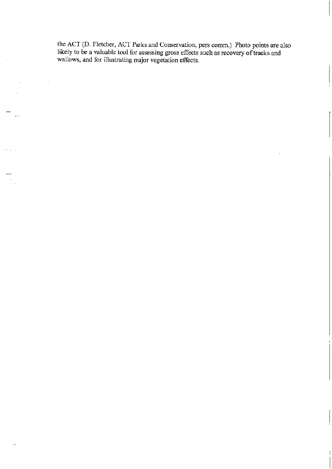the ACT (D. Fletcher, ACT Parks and Conservation, pers comm.) Photo points are also likely to be a valuable tool for assessing gross effects such as recovery of tracks and wallows, and for illustrating major vegetation effects.

 $\bar{z}$ 

I~ , .

 $\hat{\boldsymbol{\beta}}$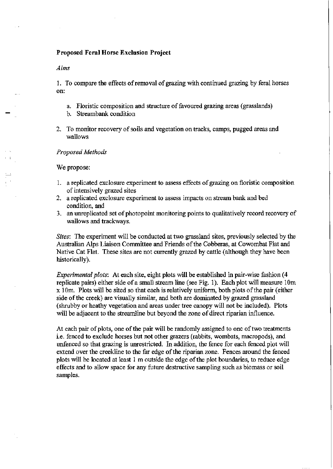# Proposed Feral Horse Exclusion Project

#### *Aims*

1. To compare the effects of removal of grazing with continued grazing by feral horses on:

- a. Floristic composition and structure of favoured grazing areas (grasslands)
- b. Streambank condition
- 2. To monitor recovery of soils and vegetation on tracks, camps, pugged areas and wallows

#### *Proposed Methods*

We propose:

 $\mathbf{r}$ I I

- 1. a replicated exclosure experiment to assess effects of grazing on floristic composition of intensively grazed sites
- 2. a replicated exclosure experiment to assess impacts on stream bank and bed condition, and
- 3. an unreplicated set of photopoint monitoring points to qualitatively record recovery of wallows and trackways.

*Sites:* The experiment will be conducted at two grassland sites, previously selected by the Australian Alps Liaison Committee and Friends of the Cobberas, at Cowombat Flat and Native Cat Flat. These sites are not currently grazed by cattle (although they have been historically).

*Experimental plots:* At each site, eight plots will be established in pair-wise fashion (4 replicate pairs) either side of a small stream line (see Fig. 1). Each plot will measure lOm x 1 Om. Plots will be sited so that each is relatively uniform, both plots of the pair (either side of the creek) are visually similar, and both are dominated by grazed grassland (shrubby or heathy vegetation and areas under tree canopy will not be included). Plots will be adjacent to the streamline but beyond the zone of direct riparian influence.

At each pair of plots, one of the pair will be randomly assigned to one of two treatments i.e. fenced to exclude horses but not other grazers (rabbits, wombats, macropods), and unfenced so that grazing is unrestricted. In addition, the fence for each fenced plot will extend over the creekline to the far edge of the riparian zone. Fences around the fenced plots will be located at least 1 m outside the edge of the plot boundaries, to reduce edge effects and to allow space for any future destructive sampling such as biomass or soil samples.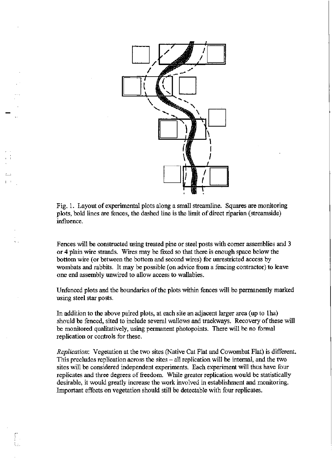

I i

 $\mathbf{I}^{-1}$ 

Fig. 1. Layout of experimental plots along a small streamline. Squares are monitoring plots, bold lines are fences, the dashed line is the limit of direct riparian (streamside) influence.

Fences will be constructed using treated pine or steel posts with corner assemblies and 3 or 4 plain wire strands. Wires may be fixed so that there is enough space below the bottom wire (or between the bottom and second wires) for unrestricted access by wombats and rabbits. It may be possible (on advice from a fencing contractor) to leave one end assembly unwired to allow access to wallabies.

Unfenced plots and the boundaries of the plots within fences will be permanently marked using steel star posts.

In addition to the above paired plots, at each site an adjacent larger area (up to Iha) should be fenced, sited to include several wallows and trackways. Recovery of these will be monitored qualitatively, using permanent photopoints. There will be no formal replication or controls for these.

*Replication:* Vegetation at the two sites (Native Cat Flat and Cowombat Flat) is different. This precludes replication across the sites – all replication will be internal, and the two sites will be considered independent experiments. Each experiment will thus have four replicates and three degrees of freedom. While greater replication would be statistically desirable, it would greatly increase the work involved in establishment and monitoring. Important effects on vegetation should still be detectable with four replicates.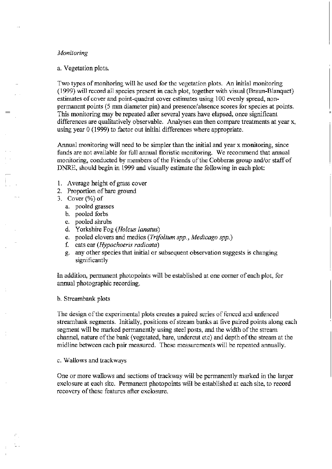# *Monitoring*

#### a. Vegetation plots.

Two types of monitoring will be used for the vegetation plots. An initial monitoring (1999) will record all species present in each plot, together with visual (Braun-Blanquet) estimates of cover and point-quadrat cover estimates using 100 evenly spread, nonpermanent points (5 mm diameter pin) and presence/absence scores for species at points. This monitoring may be repeated after several years have elapsed, once significant differences are qualitatively observable. Analyses can then compare treatments at year x, using year 0 (1999) to factor out initial differences where appropriate.

Annual monitoring will need to be simpler than the initial and year x monitoring, since funds are not available for full annual floristic monitoring. We recommend that annual monitoring, conducted by members of the Friends of the Cobberas group and/or staff of DNRE, should begin in 1999 and visually estimate the following in each plot:

- 1. Average height of grass cover
- 2. Proportion of bare ground
- 3. Cover (%) of
	- a. pooled grasses
	- b. pooled forbs
	- c. pooled shrubs
	- d. Yorkshire Fog *(Holcus lanatus)*
	- e. pooled clovers and medics *(Trifolium spp., Medicago spp.)*
	- £ cats ear *(Hypochoeris radicata)*
	- g. any other species that initial or subsequent observation suggests is changing significantly

In addition, permanent photopoints will be established at one corner of each plot, for annual photographic recording.

#### b. Streambank plots

The design of the experimental plots creates a paired series of fenced and unfenced streambank segments. Initially, positions of stream banks at five paired points along each segment will be marked permanently using steel posts, and the width of the stream channel, nature of the bank (vegetated, bare, undercut etc) and depth of the stream at the midline between each pair measured. These measurements will be repeated annually.

#### c. Wallows and trackways

One or more wallows and sections of trackway will be permanently marked in the larger exclosure at each site. Permanent photopoints will be established at each site, to record recovery of these features after exclosure.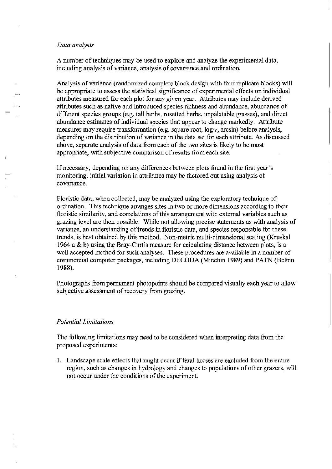#### *Data analysis*

r-

A number of techniques may be used to explore and analyze the experimental data, including analysis of variance, analysis of covariance and ordination.

Analysis of variance (randomized complete block design with four replicate blocks) will be appropriate to assess the statistical significance of experimental effects on individual attributes measured for each plot for any given year. Attributes may include derived attributes such as native and introduced species richness and abundance, abundance of different species groups (e.g. tall herbs, rosetted herbs, unpalatable grasses), and direct abundance estimates of individual species that appear to change markedly. Attribute measures may require transformation (e.g. square root,  $log_{10}$ , arcsin) before analysis, depending on the distribution of variance in the data set for each attribute. As discussed above, separate analysis of data from each of the two sites is likely to be most appropriate, with subjective comparison of results from each site.

Ifnecessary, depending on any differences between plots found in the first year's monitoring, initial variation in attributes may be factored out using analysis of covariance.

Floristic data, when collected, may be analyzed using the exploratory technique of ordination. This technique arranges sites in two or more dimensions according to their floristic similarity, and correlations of this arrangement with external variables such as grazing level are then possible. While not allowing precise statements as with analysis of variance, an understanding of trends in floristic data, and species responsible for these trends, is best obtained by this method. Non-metric multi-dimensional scaling (Kruskal 1964 a  $\&$  b) using the Bray-Curtis measure for calculating distance between plots, is a well accepted method for such analyses. These procedures are available in a number of commercial computer packages, including DECODA (Minchin 1989) and PATN (Belbin 1988).

Photographs from permanent photopoints should be compared visually each year to allow subjective assessment of recovery from grazing.

# *Potential Limitations*

The following limitations may need to be considered when interpreting data from the proposed experiments:

1. Landscape scale effects that might occur if feral horses are excluded from the entire region, such as changes in hydrology and changes to populations of other grazers, will not occur under the conditions of the experiment.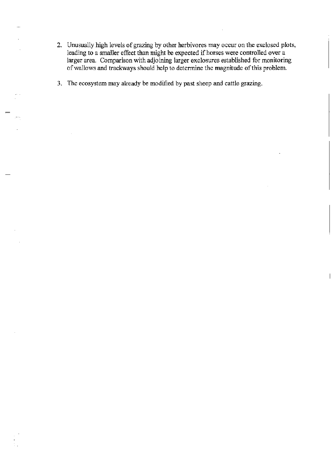- 2. Unusually high levels of grazing by other herbivores may occur on the exclosed plots, leading to a smaller effect than might be expected if horses were controlled over a larger area. Comparison with adjoining larger exclosures established for monitoring of wallows and trackways should help to determine the magnitude of this problem.
- 3. The ecosystem may already be modified by past sheep and cattle grazing.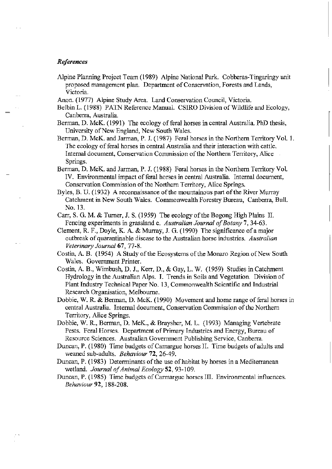#### *References*

<sup>-</sup>

- Alpine Planning Project Team (1989) Alpine National Park. Cobberas-Tingaringy unit proposed management plan. Department of Conservation, Forests and Lands, Victoria.
- Anon. (1977) Alpine Study Area. Land Conservation Council, Victoria.
- Belbin L. (1988) PATN Reference Manual. CSIRO Division of Wildlife and Ecology, Canberra, Australia.
- Berman, D. McK. (1991) The ecology of feral horses in central Australia. PhD thesis, University of New England, New South Wales.
- Berman, D. McK. and Jarman, P. J. (1987) Feral horses in the Northern Territory Vol. l. The ecology of feral horses in central Australia and their interaction with cattle. Internal document, Conservation Commission of the Northern Territory, Alice . Springs.
- Berman, D. McK. and Jarman, P. J. (1988) Feral horses in the Northern Territory Vol. IV. Environmental impact of feral horses in central Australia. Internal document, Conservation Commission of the Northern Territory, Alice Springs.
- Byles, B. U. (1932) A reconnaissance of the mountainous part of the River Murray Catchment in New South Wales. Commonwealth Forestry Bureau, Canberra, Bull. No. 13.
- Carr, S. G. M. & Turner, J. S. (1959) The ecology of the Bogong High Plains II. Fencing experiments in grassland c. Australian Journal of Botany 7, 34-63.
- Clement, R F., Doyle, K. A. & Murray, J. G. (1990) The significance ofa major outbreak: of quarantinable disease to the Australian horse industries. *Australian Veterinary Journal* 67, 77-8.
- Costin, A. B. (1954) A Study of the Ecosystems of the Monaro Region of New South Wales. Government Printer.
- Costin, A. B., Wimbush, D. J., Kerr, D., & Gay, L. W. (1959) Studies in Catchment Hydrology in the Australian Alps. 1. Trends in Soils and Vegetation. Division of Plant Industry Technical Paper No. 13, Commonwealth Scientific and Industrial Research Organisation, Melbourne.
- Dobbie, W. R & Berman, D. McK. (1990) Movement and home range of feral horses in central Australia. Internal document, Conservation Commission of the Northern Territory, Alice Springs.
- Dobbie, W. R, Berman, D. McK., & Braysher, M. L. (1993) Managing Vertebrate Pests. Feral Horses. Department of Primary Industries and Energy, Bureau of Resource Sciences. Australian Government Publishing Service, Canberra.
- Duncan, P. (1980) Time budgets of Camargue horses II. Time budgets of adults and weaned sub-adults. *Behaviour* 72,26-49.
- Duncan, P. (1983) Determinants of the use of habitat by horses in a Mediterranean wetland. *Journal of Animal Ecology* 52, 93-109.
- Duncan, P. (1985) Time budgets of Carmargue horses III. Environmental influences. *Behaviour* 92, 188-208.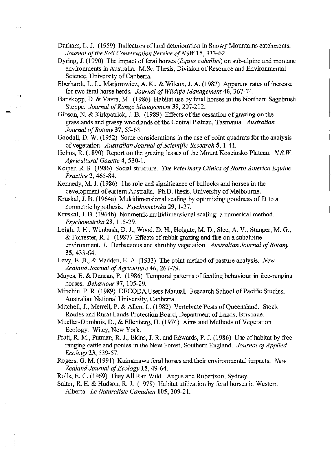Durham, L. J. (1959) Indicators of land deterioration in Snowy Mountains catchments. *Journal of the Soil Conservation Service of NSW* 15, 333-62.

- Dyring, J. (1990) The impact of feral horses *(Equus caballus)* on sub-alpine and montane environments in Australia. M.Sc. Thesis, Division of Resource and Environmental Science, University of Canberra.
- Eberhardt, L. L., Marjorowicz, A. K., & Wilcox, J. A. (1982) Apparent rates of increase for two feral horse herds. *Journal of Wildlife Management* 46, 367-74.
- Ganskopp, D. & Vavra, M. (1986) Habitat use by feral horses in the Northern Sagebrush Steppe. *Journal of Range Management* 39, 207-212.
- Gibson, N. & Kirkpatrick, J. B. (1989) Effects of the cessation of grazing on the grasslands and grassy woodlands of the Central Plateau, Tasmania. *Australian Journal of Botany* 37, 55-63.

Goodall, D. W. (1952) Some considerations in the use of point quadrats for the analysis of vegetation. *Australian Journal of Scientific Research* 5, 1-41.

Helms, R. (1890) Report on the grazing leases of the Mount Kosciusko Plateau. *N.S.W. Agricultural Gazette* 4,530-1.

Keiper, R. R. (1986) Social structure. *The Veterinary Clinics of North America Equine Practice* 2,465-84.

Kennedy, M. J. (1986) The role and significance of bullocks and horses in the development of eastern Australia. Ph.D. thesis, University of Melbourne.

 $\mathbf{I}$ 

- Kruskal, J. B. (1964a) Multidimensional scaling by optimizing goodness of fit to a nonmetric hypothesis. *Psychometrika* 29, 1-27.
- Kruskal, J. B. (1964b) Nonmetric multidimensional scaling: a numerical method. *Psychometrika* 29, 115-29.
- Leigh, J. H., Wimbush, D. J., Wood, D. H., Holgate, M. D., Slee, A. V., Stanger, M. G.,  $\&$  Forrester, R. I. (1987) Effects of rabbit grazing and fire on a subalpine environment. I. Herbaceous and shrubby vegetation. *Australian Journal of Botany*  35,433-64.
- Levy, E. B., & Madden, E. A. (1933) The point method of pasture analysis. *New Zealand Journal of Agriculture* 46, 267-79.
- Mayes, E. & Duncan, P.  $(1986)$  Temporal patterns of feeding behaviour in free-ranging horses. *Behaviour* 97, 105-29.
- Minchin, P. R (1989) DECODA Users Manual: Research School of Pacific Studies, Australian National University, Canberra.
- Mitchell, J., Merrell, P. & AlIen, L. (1982) Vertebrate Pests of Queensland. Stock Routes and Rural Lands Protection Board, Department of Lands, Brisbane.

Mueller-Dombois, D., & Ellenberg, H. (1974) Aims and Methods of Vegetation Ecology. Wiley, New York.

- Pratt, R M., Putman, R. J., Ekins, J. R. and Edwards, P. J. (1986) Use of habitat by free ranging cattle and ponies in the New Forest, Southern England. *Journal of Applied Ecology* 23,539-57.
- Rogers, G. M. (1991) Kaimanawa feral horses and their environmental impacts. *New Zealand Journal of Ecology* 15, 49-64.

Rolls, E. C. (1969) They All Ran Wild. Angus and Robertson, Sydney.

Salter, R. E. & Hudson, R. J. (1978) Habitat utilization by feral horses in Western Alberta. *Le Naturaliste Canadien* 105,309-21.